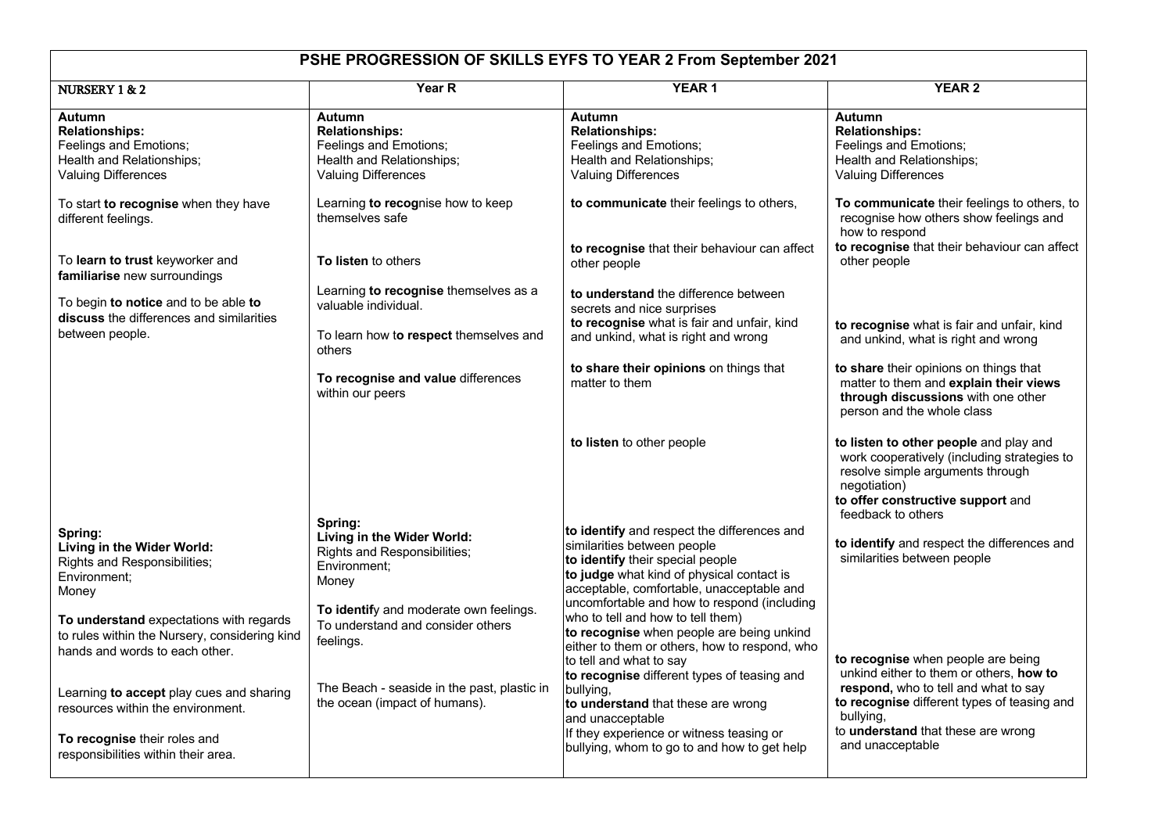## **PSHE PROGRESSION OF SKILLS EYFS TO YEAR 2 From September 2021**

| NURSERY 1 & 2                                                                                                              | Year R                                                                                   | <b>YEAR1</b>                                                                                                                                                                   | <b>YEAR 2</b>                                                                                                                                                                                        |
|----------------------------------------------------------------------------------------------------------------------------|------------------------------------------------------------------------------------------|--------------------------------------------------------------------------------------------------------------------------------------------------------------------------------|------------------------------------------------------------------------------------------------------------------------------------------------------------------------------------------------------|
|                                                                                                                            |                                                                                          |                                                                                                                                                                                |                                                                                                                                                                                                      |
| <b>Autumn</b>                                                                                                              | <b>Autumn</b>                                                                            | Autumn                                                                                                                                                                         | Autumn                                                                                                                                                                                               |
| <b>Relationships:</b>                                                                                                      | <b>Relationships:</b>                                                                    | <b>Relationships:</b>                                                                                                                                                          | <b>Relationships:</b>                                                                                                                                                                                |
| Feelings and Emotions;                                                                                                     | Feelings and Emotions;                                                                   | Feelings and Emotions;                                                                                                                                                         | Feelings and Emotions;                                                                                                                                                                               |
| Health and Relationships;                                                                                                  | Health and Relationships;                                                                | Health and Relationships;                                                                                                                                                      | Health and Relationships;                                                                                                                                                                            |
| <b>Valuing Differences</b>                                                                                                 | <b>Valuing Differences</b>                                                               | <b>Valuing Differences</b>                                                                                                                                                     | <b>Valuing Differences</b>                                                                                                                                                                           |
| To start to recognise when they have<br>different feelings.                                                                | Learning to recognise how to keep<br>themselves safe                                     | to communicate their feelings to others,                                                                                                                                       | To communicate their feelings to others, to<br>recognise how others show feelings and<br>how to respond                                                                                              |
| To learn to trust keyworker and<br>familiarise new surroundings                                                            | To listen to others                                                                      | to recognise that their behaviour can affect<br>other people                                                                                                                   | to recognise that their behaviour can affect<br>other people                                                                                                                                         |
|                                                                                                                            | Learning to recognise themselves as a                                                    | to understand the difference between                                                                                                                                           |                                                                                                                                                                                                      |
| To begin to notice and to be able to                                                                                       | valuable individual.                                                                     | secrets and nice surprises                                                                                                                                                     |                                                                                                                                                                                                      |
| discuss the differences and similarities                                                                                   |                                                                                          | to recognise what is fair and unfair, kind                                                                                                                                     |                                                                                                                                                                                                      |
| between people.                                                                                                            | To learn how to respect themselves and<br>others                                         | and unkind, what is right and wrong                                                                                                                                            | to recognise what is fair and unfair, kind<br>and unkind, what is right and wrong                                                                                                                    |
|                                                                                                                            | To recognise and value differences<br>within our peers                                   | to share their opinions on things that<br>matter to them                                                                                                                       | to share their opinions on things that<br>matter to them and explain their views<br>through discussions with one other<br>person and the whole class                                                 |
|                                                                                                                            |                                                                                          | to listen to other people                                                                                                                                                      | to listen to other people and play and<br>work cooperatively (including strategies to<br>resolve simple arguments through<br>negotiation)<br>to offer constructive support and<br>feedback to others |
| Spring:                                                                                                                    | Spring:                                                                                  | to identify and respect the differences and                                                                                                                                    |                                                                                                                                                                                                      |
| Living in the Wider World:<br><b>Rights and Responsibilities;</b><br>Environment:                                          | Living in the Wider World:<br>Rights and Responsibilities;<br>Environment;<br>Money      | similarities between people<br>to identify their special people<br>to judge what kind of physical contact is                                                                   | to identify and respect the differences and<br>similarities between people                                                                                                                           |
| Money                                                                                                                      |                                                                                          | acceptable, comfortable, unacceptable and                                                                                                                                      |                                                                                                                                                                                                      |
| To understand expectations with regards<br>to rules within the Nursery, considering kind<br>hands and words to each other. | To identify and moderate own feelings.<br>To understand and consider others<br>feelings. | uncomfortable and how to respond (including<br>who to tell and how to tell them)<br>to recognise when people are being unkind<br>either to them or others, how to respond, who |                                                                                                                                                                                                      |
|                                                                                                                            |                                                                                          | to tell and what to say                                                                                                                                                        | to recognise when people are being                                                                                                                                                                   |
| Learning to accept play cues and sharing<br>resources within the environment.                                              | The Beach - seaside in the past, plastic in<br>the ocean (impact of humans).             | to recognise different types of teasing and<br>bullying,<br>to understand that these are wrong<br>and unacceptable                                                             | unkind either to them or others, how to<br>respond, who to tell and what to say<br>to recognise different types of teasing and<br>bullving.                                                          |
| To recognise their roles and<br>responsibilities within their area.                                                        |                                                                                          | If they experience or witness teasing or<br>bullying, whom to go to and how to get help                                                                                        | to understand that these are wrong<br>and unacceptable                                                                                                                                               |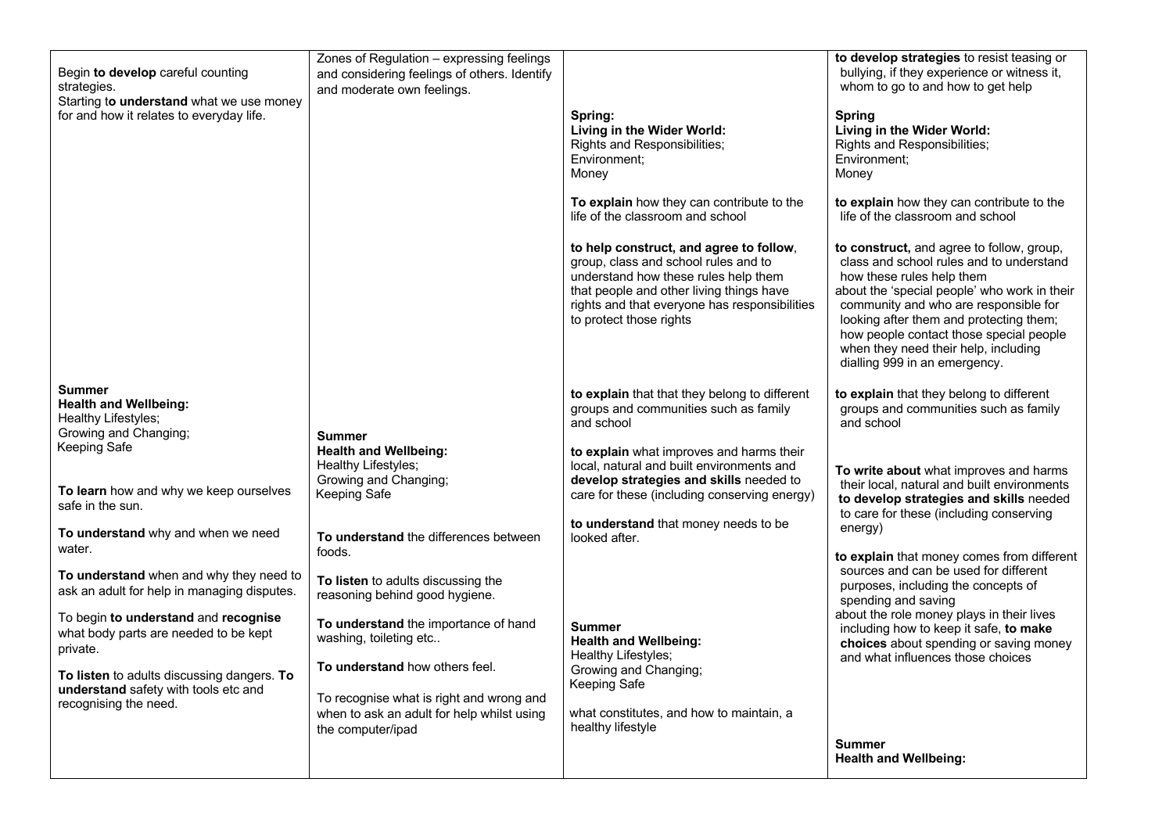| Begin to develop careful counting<br>strategies.<br>Starting to understand what we use money  | Zones of Regulation - expressing feelings<br>and considering feelings of others. Identify<br>and moderate own feelings. |                                                                                                                                                                                                                                                 | to develop strategies to resist teasing or<br>bullying, if they experience or witness it,<br>whom to go to and how to get help                                                                                                                                                                                                                                             |
|-----------------------------------------------------------------------------------------------|-------------------------------------------------------------------------------------------------------------------------|-------------------------------------------------------------------------------------------------------------------------------------------------------------------------------------------------------------------------------------------------|----------------------------------------------------------------------------------------------------------------------------------------------------------------------------------------------------------------------------------------------------------------------------------------------------------------------------------------------------------------------------|
| for and how it relates to everyday life.                                                      |                                                                                                                         | Spring:<br>Living in the Wider World:<br>Rights and Responsibilities;<br>Environment;<br>Money                                                                                                                                                  | <b>Spring</b><br>Living in the Wider World:<br>Rights and Responsibilities;<br>Environment;<br>Money                                                                                                                                                                                                                                                                       |
|                                                                                               |                                                                                                                         | To explain how they can contribute to the<br>life of the classroom and school                                                                                                                                                                   | to explain how they can contribute to the<br>life of the classroom and school                                                                                                                                                                                                                                                                                              |
|                                                                                               |                                                                                                                         | to help construct, and agree to follow,<br>group, class and school rules and to<br>understand how these rules help them<br>that people and other living things have<br>rights and that everyone has responsibilities<br>to protect those rights | to construct, and agree to follow, group,<br>class and school rules and to understand<br>how these rules help them<br>about the 'special people' who work in their<br>community and who are responsible for<br>looking after them and protecting them;<br>how people contact those special people<br>when they need their help, including<br>dialling 999 in an emergency. |
| <b>Summer</b><br><b>Health and Wellbeing:</b><br>Healthy Lifestyles;<br>Growing and Changing; | Summer                                                                                                                  | to explain that that they belong to different<br>groups and communities such as family<br>and school                                                                                                                                            | to explain that they belong to different<br>groups and communities such as family<br>and school                                                                                                                                                                                                                                                                            |
| Keeping Safe<br>To learn how and why we keep ourselves<br>safe in the sun.                    | <b>Health and Wellbeing:</b><br>Healthy Lifestyles;<br>Growing and Changing;<br>Keeping Safe                            | to explain what improves and harms their<br>local, natural and built environments and<br>develop strategies and skills needed to<br>care for these (including conserving energy)                                                                | To write about what improves and harms<br>their local, natural and built environments<br>to develop strategies and skills needed<br>to care for these (including conserving                                                                                                                                                                                                |
| To understand why and when we need<br>water.                                                  | To understand the differences between<br>foods.                                                                         | to understand that money needs to be<br>looked after.                                                                                                                                                                                           | energy)                                                                                                                                                                                                                                                                                                                                                                    |
| To understand when and why they need to<br>ask an adult for help in managing disputes.        | To listen to adults discussing the<br>reasoning behind good hygiene.                                                    |                                                                                                                                                                                                                                                 | to explain that money comes from different<br>sources and can be used for different<br>purposes, including the concepts of<br>spending and saving<br>about the role money plays in their lives                                                                                                                                                                             |
| To begin to understand and recognise<br>what body parts are needed to be kept<br>private.     | To understand the importance of hand<br>washing, toileting etc                                                          | <b>Summer</b><br><b>Health and Wellbeing:</b>                                                                                                                                                                                                   | including how to keep it safe, to make<br>choices about spending or saving money                                                                                                                                                                                                                                                                                           |
| To listen to adults discussing dangers. To<br>understand safety with tools etc and            | To understand how others feel.                                                                                          | Healthy Lifestyles;<br>Growing and Changing;<br>Keeping Safe                                                                                                                                                                                    | and what influences those choices                                                                                                                                                                                                                                                                                                                                          |
| recognising the need.                                                                         | To recognise what is right and wrong and<br>when to ask an adult for help whilst using<br>the computer/ipad             | what constitutes, and how to maintain, a<br>healthy lifestyle                                                                                                                                                                                   |                                                                                                                                                                                                                                                                                                                                                                            |
|                                                                                               |                                                                                                                         |                                                                                                                                                                                                                                                 | <b>Summer</b><br><b>Health and Wellbeing:</b>                                                                                                                                                                                                                                                                                                                              |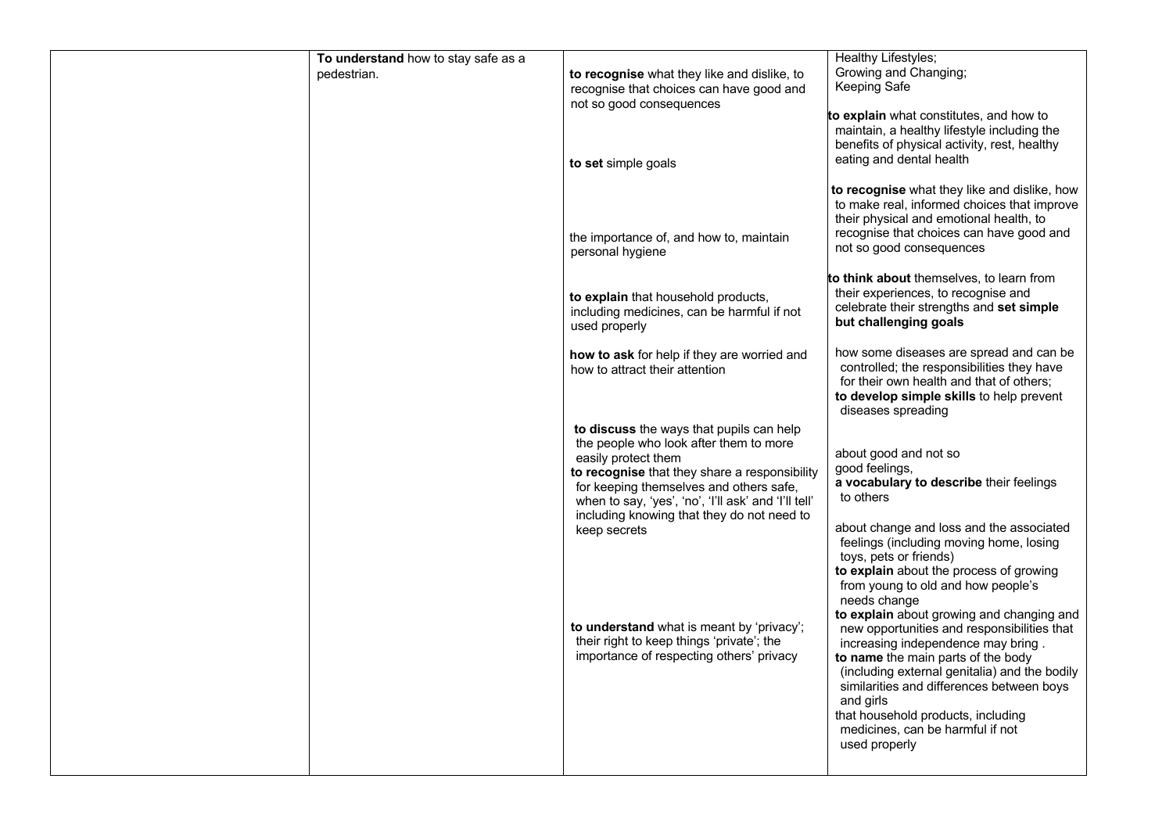| To understand how to stay safe as a |                                                                                                                                                                                                                                                                                                             | Healthy Lifestyles;                                                                                                                                                                                                                                                      |
|-------------------------------------|-------------------------------------------------------------------------------------------------------------------------------------------------------------------------------------------------------------------------------------------------------------------------------------------------------------|--------------------------------------------------------------------------------------------------------------------------------------------------------------------------------------------------------------------------------------------------------------------------|
| pedestrian.                         | to recognise what they like and dislike, to<br>recognise that choices can have good and<br>not so good consequences                                                                                                                                                                                         | Growing and Changing;<br>Keeping Safe                                                                                                                                                                                                                                    |
|                                     | to set simple goals                                                                                                                                                                                                                                                                                         | to explain what constitutes, and how to<br>maintain, a healthy lifestyle including the<br>benefits of physical activity, rest, healthy<br>eating and dental health                                                                                                       |
|                                     | the importance of, and how to, maintain<br>personal hygiene                                                                                                                                                                                                                                                 | to recognise what they like and dislike, how<br>to make real, informed choices that improve<br>their physical and emotional health, to<br>recognise that choices can have good and<br>not so good consequences                                                           |
|                                     | to explain that household products,<br>including medicines, can be harmful if not<br>used properly                                                                                                                                                                                                          | to think about themselves, to learn from<br>their experiences, to recognise and<br>celebrate their strengths and set simple<br>but challenging goals                                                                                                                     |
|                                     | how to ask for help if they are worried and<br>how to attract their attention                                                                                                                                                                                                                               | how some diseases are spread and can be<br>controlled; the responsibilities they have<br>for their own health and that of others;<br>to develop simple skills to help prevent<br>diseases spreading                                                                      |
|                                     | to discuss the ways that pupils can help<br>the people who look after them to more<br>easily protect them<br>to recognise that they share a responsibility<br>for keeping themselves and others safe,<br>when to say, 'yes', 'no', 'I'll ask' and 'I'll tell'<br>including knowing that they do not need to | about good and not so<br>good feelings,<br>a vocabulary to describe their feelings<br>to others                                                                                                                                                                          |
|                                     | keep secrets                                                                                                                                                                                                                                                                                                | about change and loss and the associated<br>feelings (including moving home, losing<br>toys, pets or friends)<br>to explain about the process of growing<br>from young to old and how people's<br>needs change<br>to explain about growing and changing and              |
|                                     | to understand what is meant by 'privacy';<br>their right to keep things 'private'; the<br>importance of respecting others' privacy                                                                                                                                                                          | new opportunities and responsibilities that<br>increasing independence may bring.<br>to name the main parts of the body<br>(including external genitalia) and the bodily<br>similarities and differences between boys<br>and girls<br>that household products, including |
|                                     |                                                                                                                                                                                                                                                                                                             | medicines, can be harmful if not<br>used properly                                                                                                                                                                                                                        |